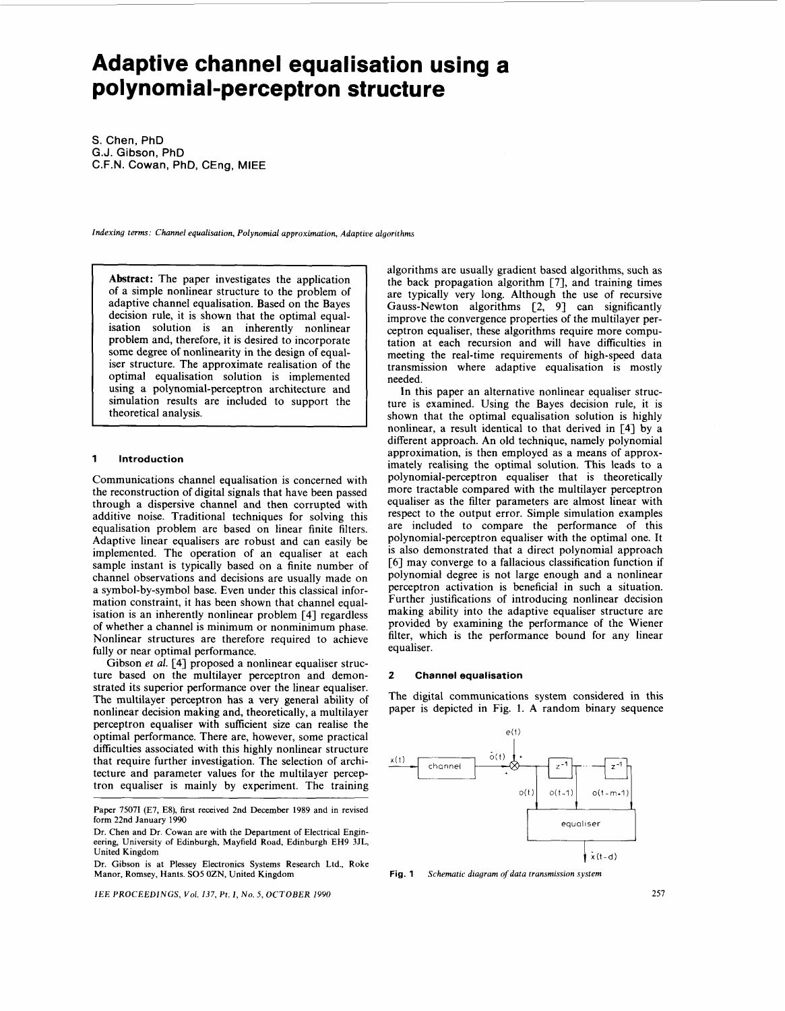# <span id="page-0-0"></span>**Adaptive channel equalisation using a polynomial-perceptron structure**

*S.* Chen, PhD G.J. Gibson, PhD C.F.N. Cowan, PhD, CEng, **MlEE** 

*Indexing terms: Channel equalisation, Polynomial approximation, Adaptive algorithms* 

**Abstract:** The paper investigates the application of a simple nonlinear structure to the problem of adaptive channel equalisation. Based on the Bayes decision rule, it is shown that the optimal equalisation solution is an inherently nonlinear problem and, therefore, it is desired to incorporate some degree of nonlinearity in the design of equaliser structure. The approximate realisation of the optimal equalisation solution is implemented using a polynomial-perceptron architecture and simulation results are included to support the theoretical analysis.

# **1 Introduction**

Communications channel equalisation is concerned with the reconstruction of digital signals that have been passed through a dispersive channel and then corrupted with additive noise. Traditional techniques for solving this equalisation problem are based on linear finite filters. Adaptive linear equalisers are robust and can easily be implemented. The operation of an equaliser at each sample instant is typically based on a finite number of channel observations and decisions are usually made on a symbol-by-symbol base. Even under this classical information constraint, it has been shown that channel equalisation is an inherently nonlinear problem **[4]** regardless of whether a channel is minimum or nonminimum phase. Nonlinear structures are therefore required to achieve fully or near optimal performance.

Gibson *et al.* [4] proposed a nonlinear equaliser structure based on the multilayer perceptron and demonstrated its superior performance over the linear equaliser. The multilayer perceptron has a very general ability of nonlinear decision making and, theoretically, a multilayer perceptron equaliser with sufficient size can realise the optimal performance. There are, however, some practical difficulties associated with this highly nonlinear structure that require further investigation. The selection of architecture and parameter values for the multilayer perceptron equaliser is mainly by experiment. The training

**IEE PROCEEDINGS,** *Vol. 137, Pt.* **I,** *No. 5, OCTOBER 1990* 251

algorithms are usually gradient based algorithms, such as the back propagation algorithm [7], and training times are typically very long. Although the use of recursive Gauss-Newton algorithms **[2,** 91 can significantly improve the convergence properties of the multilayer perceptron equaliser, these algorithms require more computation at each recursion and will have difficulties in meeting the real-time requirements of high-speed data transmission where adaptive equalisation is mostly needed.

In this paper an alternative nonlinear equaliser structure is examined. Using the Bayes decision rule, it is shown that the optimal equalisation solution is highly nonlinear, a result identical to that derived in **[4]** by a different approach. An old technique, namely polynomial approximation, is then employed as a means of approximately realising the optimal solution. This leads to a polynomial-perceptron equaliser that is theoretically more tractable compared with the multilayer perceptron equaliser as the filter parameters are almost linear with respect to the output error. Simple simulation examples are included to compare the performance of this polynomial-perceptron equaliser with the optimal one. It is also demonstrated that a direct polynomial approach **[6]** may converge to a fallacious classification function if polynomial degree is not large enough and a nonlinear perceptron activation is beneficial in such a situation. Further justifications of introducing nonlinear decision making ability into the adaptive equaliser structure are provided by examining the performance of the Wiener filter, which is the performance bound for any linear equaliser.

### **2 Channel equalisation**

The digital communications system considered in this paper is depicted in Fig. **1.** A random binary sequence



**Fig. 1** *Schematic diagram of data transmission system* 

Paper 75071 (E7, E8), first received 2nd December 1989 and in revised form 22nd January 1990

Dr. Chen and Dr. Cowan are with the Department of Electrical Engineering, University of Edinburgh, Mayfield Road, Edinburgh EH9 **3JL,**  United Kingdom

Dr. Gibson is at Plessey Electronics Systems Research Ltd., Roke Manor, Romsey, Hants. **SO5** OZN, United Kingdom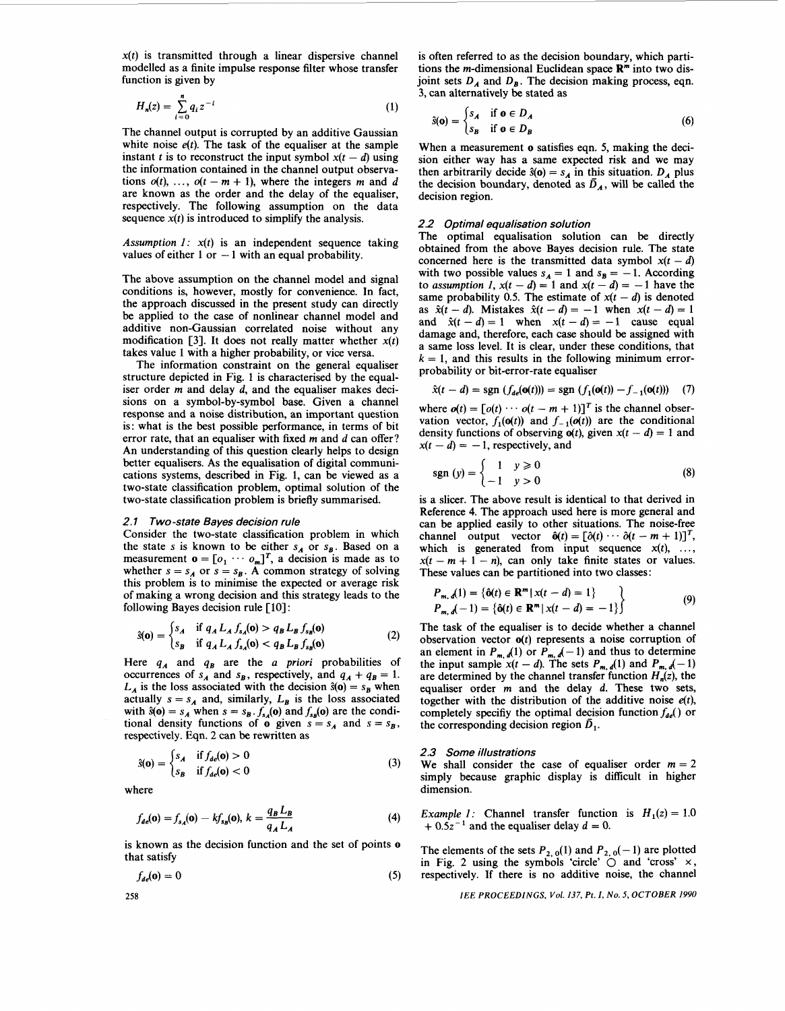$x(t)$  is transmitted through a linear dispersive channel modelled as a finite impulse response filter whose transfer function is given by

$$
H_n(z) = \sum_{i=0}^n q_i z^{-i} \tag{1}
$$

The channel output is corrupted by an additive Gaussian white noise  $e(t)$ . The task of the equaliser at the sample instant *t* is to reconstruct the input symbol  $x(t - d)$  using the information contained in the channel output observations  $o(t)$ , ...,  $o(t - m + 1)$ , where the integers m and d are known as the order and the delay of the equaliser, respectively. The following assumption on the data sequence  $x(t)$  is introduced to simplify the analysis.

Assumption 1:  $x(t)$  is an independent sequence taking values of either 1 or  $-1$  with an equal probability.

The above assumption on the channel model and signal conditions is, however, mostly for convenience. In fact, the approach discussed in the present study can directly be applied to the case of nonlinear channel model and additive non-Gaussian correlated noise without any modification [3]. It does not really matter whether  $x(t)$ takes value **1** with a higher probability, or vice versa.

The information constraint on the general equaliser structure depicted in [Fig.](#page-0-0) **1** is characterised by the equaliser order  $m$  and delay  $d$ , and the equaliser makes decisions on a symbol-by-symbol base. Given a channel response and a noise distribution, an important question is: what is the best possible performance, in terms of bit error rate, that an equaliser with fixed  $m$  and  $d$  can offer? An understanding of this question clearly helps to design better equalisers. As the equalisation of digital communications systems, described in Fig. **1,** can be viewed as a two-state classification problem, optimal solution of the two-state classification problem is briefly summarised.

# 2.1 *Two -state Ba yes decision rule*

Consider the two-state classification problem in which the state *s* is known to be either  $s_A$  or  $s_B$ . Based on a measurement  $\mathbf{o} = [o_1 \cdots o_m]^T$ , a decision is made as to whether  $s = s_A$  or  $s = s_B$ . A common strategy of solving this problem is to minimise the expected or average risk of making a wrong decision and this strategy leads to the following Bayes decision rule **[lo]** :

$$
\hat{\mathbf{s}}(\mathbf{0}) = \begin{cases} s_A & \text{if } q_A L_A f_{s_A}(\mathbf{0}) > q_B L_B f_{s_B}(\mathbf{0}) \\ s_B & \text{if } q_A L_A f_{s_A}(\mathbf{0}) < q_B L_B f_{s_B}(\mathbf{0}) \end{cases}
$$
(2)

Here  $q_A$  and  $q_B$  are the *a priori* probabilities of occurrences of  $s_A$  and  $s_B$ , respectively, and  $q_A + q_B = 1$ .  $L_A$  is the loss associated with the decision  $\hat{s}(0) = s_B$  when actually  $s = s_A$  and, similarly,  $L_B$  is the loss associated with  $\hat{\mathbf{s}}(\mathbf{0}) = s_A$  when  $s = s_B \cdot f_{s_A}(\mathbf{0})$  and  $f_{s_B}(\mathbf{0})$  are the conditional density functions of **o** given  $s = s_A$  and  $s = s_B$ , respectively. Eqn. *2* can be rewritten as

$$
\hat{\mathbf{s}}(\mathbf{o}) = \begin{cases} s_A & \text{if } f_{de}(\mathbf{o}) > 0 \\ s_B & \text{if } f_{de}(\mathbf{o}) < 0 \end{cases} \tag{3}
$$

where

$$
f_{de}(\mathbf{0}) = f_{s_A}(\mathbf{0}) - kf_{s_B}(\mathbf{0}), k = \frac{q_B L_B}{q_A L_A}
$$
(4)

is known as the decision function and the set of points o that satisfy

$$
f_{de}(\mathbf{0}) = 0 \tag{5}
$$

is often referred to as the decision boundary, which partitions the m-dimensional Euclidean space **R"** into two disjoint sets  $D_A$  and  $D_B$ . The decision making process, eqn. 3, can alternatively be stated as

$$
\hat{\mathbf{s}}(\mathbf{o}) = \begin{cases} s_A & \text{if } \mathbf{o} \in D_A \\ s_B & \text{if } \mathbf{o} \in D_B \end{cases}
$$
 (6)

When a measurement **o** satisfies eqn. 5, making the decision either way has a same expected risk and we may then arbitrarily decide  $\hat{s}(0) = s_A$  in this situation.  $D_A$  plus the decision boundary, denoted as  $\bar{D}_A$ , will be called the decision region.

# *2.2 Optimal equalisation solution*

The optimal equalisation solution can be directly obtained from the above Bayes decision rule. The state concerned here is the transmitted data symbol  $x(t - d)$ concerned here is the transmitted data symbol  $x(t - d)$ <br>with two possible values  $s_A = 1$  and  $s_B = -1$ . According with two possible values  $s_A = 1$  and  $s_B = -1$ . According to assumption *I*,  $x(t - d) = 1$  and  $x(t - d) = -1$  have the to assumption 1,  $x(t - d) = 1$  and  $x(t - d) = -1$  have the same probability 0.5. The estimate of  $x(t - d)$  is denoted same probability 0.5. The estimate of  $x(t - d)$  is denoted as  $\hat{x}(t - d)$ . Mistakes  $\hat{x}(t - d) = -1$  when  $x(t - d) = 1$ and  $\hat{x}(t - d) = 1$  when  $x(t - d) = -1$  cause equal damage and, therefore, each case should be assigned with a same loss level. It is clear, under these conditions, that  $k = 1$ , and this results in the following minimum errorprobability or bit-error-rate equaliser

$$
\hat{x}(t - d) = \text{sgn}(f_{de}(\mathbf{o}(t))) = \text{sgn}(f_1(\mathbf{o}(t)) - f_{-1}(\mathbf{o}(t))) \quad (7)
$$

where  $o(t) = [o(t) \cdots o(t - m + 1)]^T$  is the channel observation vector,  $f_1(\mathbf{o}(t))$  and  $f_{-1}(\mathbf{o}(t))$  are the conditional vation vector,  $f_1(\mathbf{o}(t))$  and  $f_{-1}(\mathbf{o}(t))$  are the conditional density functions of observing  $\mathbf{o}(t)$ , given  $x(t - d) = 1$  and density functions of observing of  $x(t - d) = -1$ , respectively, and

$$
sgn (y) = \begin{cases} 1 & y \geqslant 0 \\ -1 & y > 0 \end{cases}
$$
 (8)

is a slicer. The above result is identical to that derived in Reference **4.** The approach used here is more general and can be applied easily to other situations. The noise-free channel output vector  $\hat{\mathbf{o}}(t) = [\hat{o}(t) \cdots \hat{o}(t - m + 1)]^T$ , which is generated from input sequence  $x(t)$ , ...,  $x(t - m + 1 - n)$ , can only take finite states or values. These values can be partitioned into two classes:

$$
P_{m, d}(1) = \{\hat{\mathbf{o}}(t) \in \mathbb{R}^{m} | x(t - d) = 1 \}
$$
  
\n
$$
P_{m, d}(-1) = \{\hat{\mathbf{o}}(t) \in \mathbb{R}^{m} | x(t - d) = -1 \}
$$
\n(9)

The task of the equaliser is to decide whether a channel observation vector  $o(t)$  represents a noise corruption of an element in  $P_{m,d}(1)$  or  $P_{m,d}(-1)$  and thus to determine an element in  $P_{m,\,d}(1)$  or  $P_{m,\,d}(-1)$  and thus to determine the input sample  $x(t - d)$ . The sets  $P_{m,\,d}(1)$  and  $P_{m,\,d}(-1)$ are determined by the channel transfer function  $H_n(z)$ , the equaliser order m and the delay **d.** These two sets, together with the distribution of the additive noise  $e(t)$ , completely specifiy the optimal decision function  $f_{de}$ ) or the corresponding decision region  $\bar{D}_1$ .

# *2.3 Some illustrations*

We shall consider the case of equaliser order  $m = 2$ simply because graphic display is difficult in higher dimension.

*Example 1:* Channel transfer function is  $H_1(z) = 1.0$  $+ 0.5z^{-1}$  and the equaliser delay  $d = 0$ .

The elements of the sets  $P_{2, 0}(1)$  and  $P_{2, 0}(-1)$  are plotted in [Fig. 2](#page-2-0) using the symbols 'circle'  $\bigcirc$  and 'cross'  $\times$ , respectively. If there is no additive noise, the channel

*IEE PROCEEDINGS, Vol. 137, Pt. I, No. 5, OCTOBER 1990* 

**258**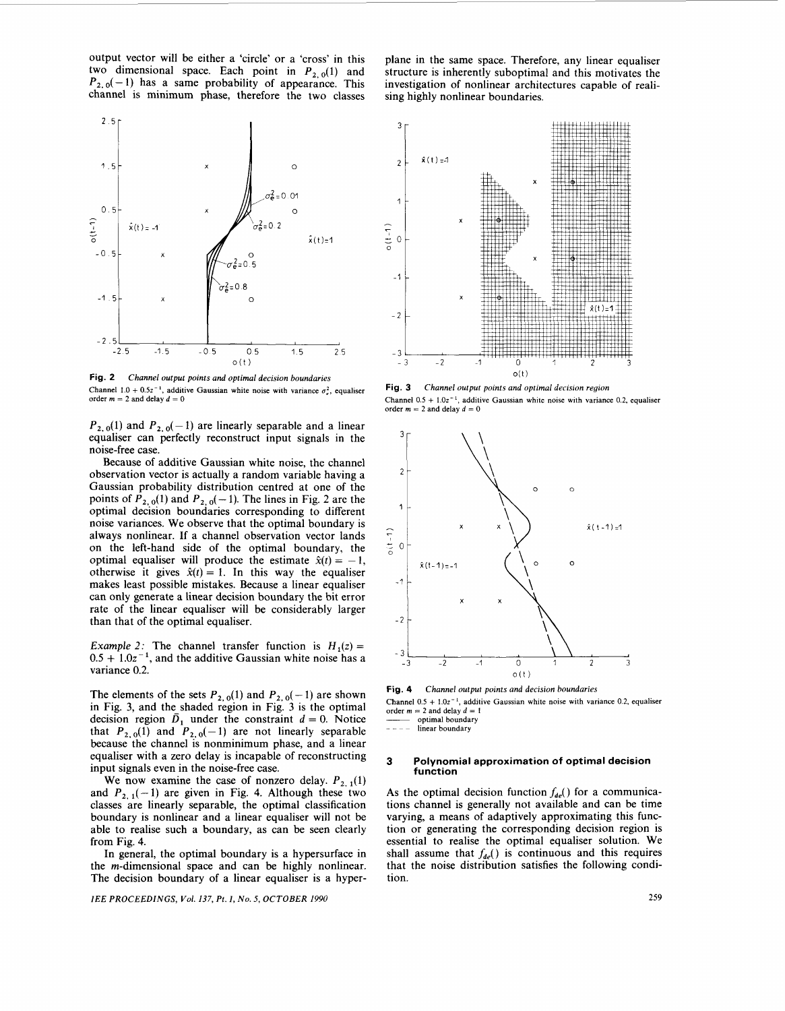<span id="page-2-0"></span>output vector will be either a 'circle' or a 'cross' in this two dimensional space. Each point in  $P_{2,0}(1)$  and  $P_{2,0}(-1)$  has a same probability of appearance. This channel is minimum phase, therefore the two classes



**Fig. 2** *Channel output points and optimal decision boundaries*  Channel 1.0 +  $0.5z^{-1}$ , additive Gaussian white noise with variance  $\sigma_e^2$ , equaliser  $\text{order } m = 2 \text{ and delay } d = 0$ 

 $P_{2,0}(1)$  and  $P_{2,0}(-1)$  are linearly separable and a linear equaliser can perfectly reconstruct input signals in the noise-free case.

Because of additive Gaussian white noise, the channel observation vector is actually a random variable having a Gaussian probability distribution centred at one of the points of  $\overline{P}_{2,0}(1)$  and  $\overline{P}_{2,0}(-1)$ . The lines in Fig. 2 are the optimal decision boundaries corresponding to different noise variances. We observe that the optimal boundary is always nonlinear. If a channel observation vector lands on the left-hand side of the optimal boundary, the optimal equaliser will produce the estimate  $\hat{x}(t) = -1$ , optimal equaliser will produce the estimate  $\hat{x}(t) = -1$ , otherwise it gives  $\hat{x}(t) = 1$ . In this way the equaliser makes least possible mistakes. Because a linear equaliser can only generate a linear decision boundary the bit error rate of the linear equaliser will be considerably larger than that of the optimal equaliser.

*Example 2:* The channel transfer function is  $H_1(z) =$  $0.5 + 1.0z^{-1}$ , and the additive Gaussian white noise has a variance 0.2.

The elements of the sets  $P_{2,0}(1)$  and  $P_{2,0}(-1)$  are shown in Fig. **3,** and the shaded region in Fig. **3** is the optimal decision region  $\overline{D}_1$  under the constraint  $d = 0$ . Notice that  $P_{2,0}(1)$  and  $P_{2,0}(-1)$  are not linearly separable because the channel is nonminimum phase, and a linear equaliser with a zero delay is incapable of reconstructing input signals even in the noise-free case.

We now examine the case of nonzero delay.  $P_{2,1}(1)$ and  $P_{2,1}(-1)$  are given in Fig. 4. Although these two classes are linearly separable, the optimal classification boundary is nonlinear and a linear equaliser will not be able to realise such a boundary, as can be seen clearly from Fig. **4.** 

In general, the optimal boundary is a hypersurface in the m-dimensional space and can be highly nonlinear. The decision boundary of a linear equaliser is a hyper-

*IEE PROCEEDINGS, Vol. 137, Pt. I, No. 5, OCTOBER 1990* 

plane in the same space. Therefore, any linear equaliser structure is inherently suboptimal and this motivates the investigation of nonlinear architectures capable of realising highly nonlinear boundaries.



**Channel**  $0.5 + 1.0z^{-1}$ **, additive Gaussian white noise with variance 0.2, equaliser**  $\text{order } m = 2 \text{ and delay } d = 0$ 



**Fig. 4**  Channel  $0.5 + 1.0z^{-1}$ , additive Gaussian white noise with variance 0.2, equaliser  $\text{order } m = 2 \text{ and delay } d = 1$ <br> **optimal boundary** *Channel output points and decision boundaries* 

\_\_~~ **linear boundary** 

### **3 Polynomial approximation of optimal decision function**

As the optimal decision function  $f_{de}(x)$  for a communications channel is generally not available and can be time varying, a means of adaptively approximating this function or generating the corresponding decision region is essential to realise the optimal equaliser solution. We shall assume that  $f_{de}()$  is continuous and this requires that the noise distribution satisfies the following condition.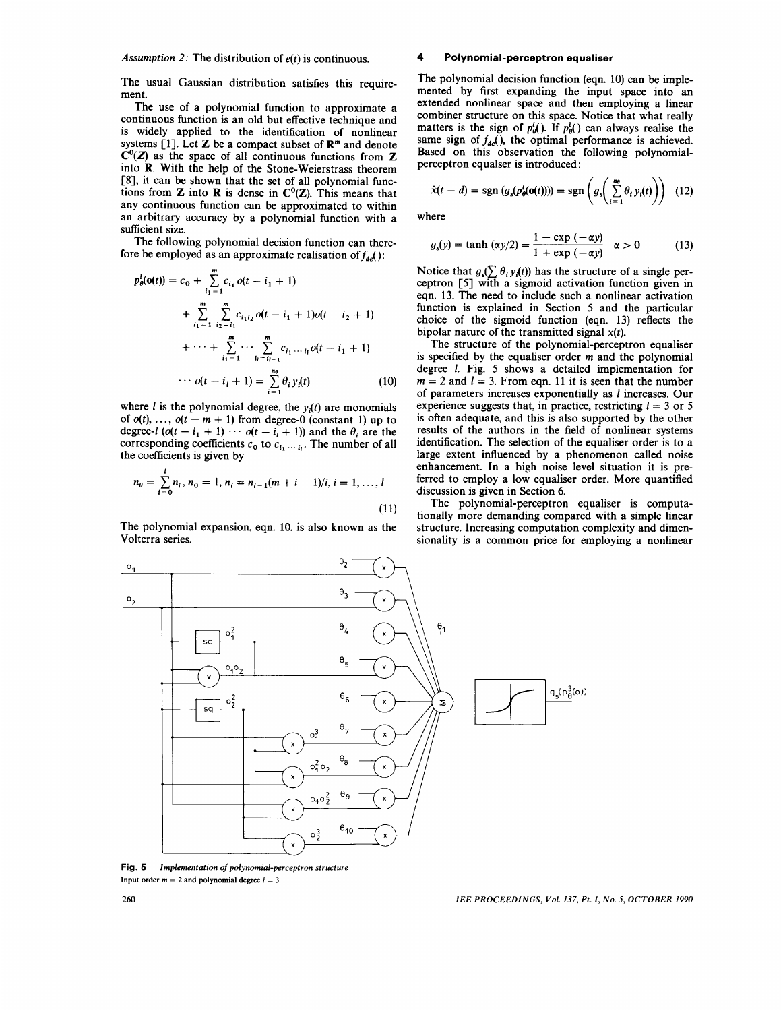Assumption 2: The distribution of *e(t)* is continuous.

The usual Gaussian distribution satisfies this requirement.

The use of a polynomial function to approximate a continuous function is an old but effective technique and is widely applied to the identification of nonlinear systems **[l].** Let Z be a compact subset of **R"** and denote  $C<sup>0</sup>(Z)$  as the space of all continuous functions from Z into **R.** With the help of the Stone-Weierstrass theorem [8], it can be shown that the set of all polynomial functions from  $Z$  into  $R$  is dense in  $C^0(Z)$ . This means that any continuous function can be approximated to within an arbitrary accuracy by a polynomial function with a sufficient size.

The following polynomial decision function can therefore be employed as an approximate realisation of  $f_{de}( )$ :

$$
p_{\theta}^{l}(\mathbf{o}(t)) = c_{0} + \sum_{i_{1} = 1}^{m} c_{i_{1}} o(t - i_{1} + 1)
$$
  
+ 
$$
\sum_{i_{1} = 1}^{m} \sum_{i_{2} = i_{1}}^{m} c_{i_{1}i_{2}} o(t - i_{1} + 1) o(t - i_{2} + 1)
$$
  
+ 
$$
\cdots + \sum_{i_{1} = 1}^{m} \cdots \sum_{i_{l} = i_{l-1}}^{m} c_{i_{1}} \cdots i_{l} o(t - i_{1} + 1)
$$
  

$$
\cdots o(t - i_{l} + 1) = \sum_{i_{l} = 1}^{n} \theta_{i} y_{i}(t)
$$
(10)

where *l* is the polynomial degree, the  $y_i(t)$  are monomials of  $o(t)$ , ...,  $o(t - m + 1)$  from degree-0 (constant 1) up to degree-1  $(o(t - i_1 + 1) \cdots o(t - i_l + 1))$  and the  $\theta_i$  are the corresponding coefficients  $c_0$  to  $c_{i_1} \ldots i_l$ . The number of all the coefficients is given by

$$
n_{\theta} = \sum_{i=0}^{l} n_i, n_0 = 1, n_i = n_{i-1}(m+i-1)/i, i = 1, ..., l
$$
\n(11)

The polynomial expansion, eqn. 10, is also known as the Volterra series.

# **4 Polynomial-perceptron equaliser**

The polynomial decision function (eqn. **10)** can be implemented by first expanding the input space into an extended nonlinear space and then employing a linear combiner structure on this space. Notice that what really matters is the sign of  $p_a^l$ ). If  $p_a^l$ ) can always realise the same sign of  $f_{de}$ (), the optimal performance is achieved. Based on this observation the following polynomialperceptron equalser is introduced :

$$
\hat{x}(t-d) = \text{sgn}\left(g_s(p_\theta^l(\mathbf{o}(t)))\right) = \text{sgn}\left(g_s\left(\sum_{i=1}^{n_\theta} \theta_i y_i(t)\right)\right) \tag{12}
$$

where

$$
g_s(y) = \tanh (\alpha y/2) = \frac{1 - \exp(-\alpha y)}{1 + \exp(-\alpha y)} \quad \alpha > 0 \tag{13}
$$

Notice that  $g_s(\sum \theta_i y_i(t))$  has the structure of a single perceptron *[5]* with a sigmoid activation function given in eqn. **13.** The need to include such a nonlinear activation function is explained in Section *5* and the particular choice of the sigmoid function (eqn. **13)** reflects the bipolar nature of the transmitted signal *x(t).* 

The structure of the polynomial-perceptron equaliser is specified by the equaliser order *m* and the polynomial degree 1. Fig. 5 shows a detailed implementation for  $m = 2$  and  $l = 3$ . From eqn. 11 it is seen that the number of parameters increases exponentially as *1* increases. Our experience suggests that, in practice, restricting  $l = 3$  or 5 is often adequate, and this is also supported by the other results of the authors in the field of nonlinear systems identification. The selection of the equaliser order is to a large extent influenced by a phenomenon called noise enhancement. In a high noise level situation it is preferred to employ a low equaliser order. More quantified discussion is given in Section 6.

The polynomial-perceptron equaliser is computationally more demanding compared with a simple linear structure. Increasing computation complexity and dimensionality is a common price for employing a nonlinear



Fig. 5 Implementation of polynomial-perceptron structure Input order  $m = 2$  and polynomial degree  $l = 3$ 

*IEE PROCEEDINGS, Vol. 137, Pt. I, No. 5, OCTOBER 1990*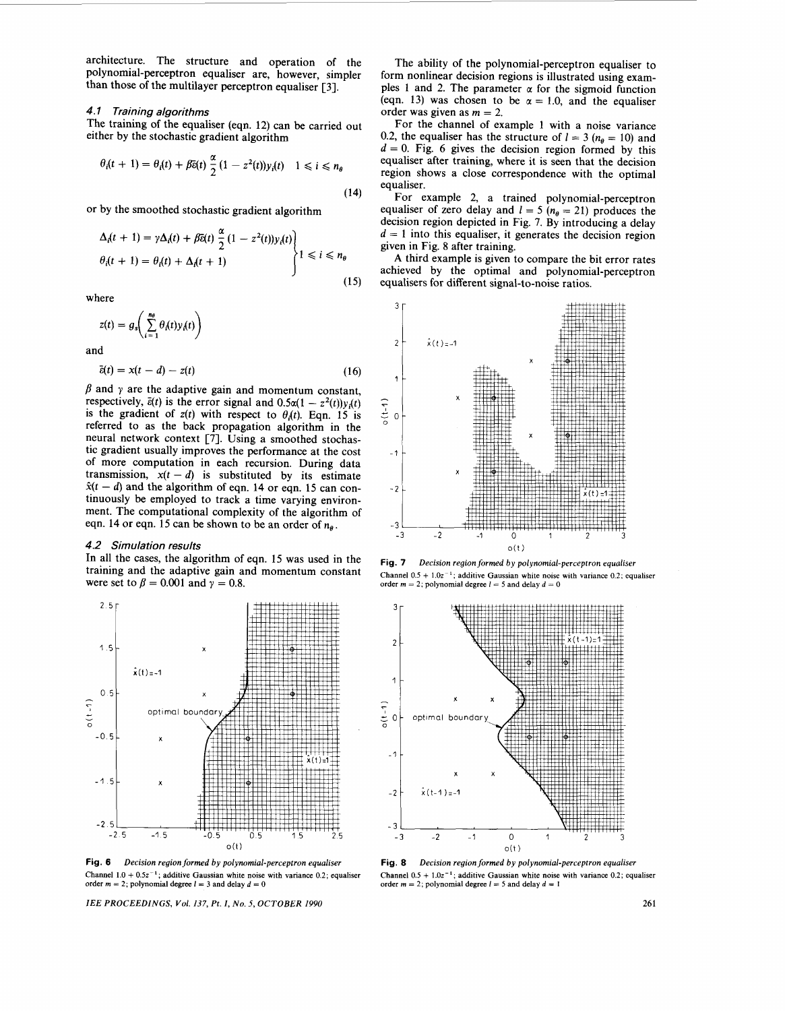architecture. The structure and operation of the polynomial-perceptron equaliser are, however, simpler than those of the multilayer perceptron equaliser **[3].** 

# *4.1 Training algorithms*

The training of the equaliser (eqn. **12)** can be carried out either by the stochastic gradient algorithm

$$
\theta_i(t+1) = \theta_i(t) + \beta \bar{\epsilon}(t) \frac{\alpha}{2} (1 - z^2(t)) y_i(t) \quad 1 \leqslant i \leqslant n_\theta
$$
\n(14)

or by the smoothed stochastic gradient algorithm  
\n
$$
\Delta_i(t + 1) = \gamma \Delta_i(t) + \beta \bar{\epsilon}(t) \frac{\alpha}{2} (1 - z^2(t)) y_i(t)
$$
\n
$$
\theta_i(t + 1) = \theta_i(t) + \Delta_i(t + 1)
$$
\n(15)

where

an

$$
z(t) = g_s\left(\sum_{i=1}^{n_\theta} \theta_i(t) y_i(t)\right)
$$
d

 $\bar{\varepsilon}(t) = x(t - d) - z(t)$  (16)

 $\beta$  and  $\gamma$  are the adaptive gain and momentum constant, respectively,  $\bar{\varepsilon}(t)$  is the error signal and  $0.5\alpha(1 - z^2(t))y_i(t)$ is the gradient of  $z(t)$  with respect to  $\theta_i(t)$ . Eqn. 15 is referred to as the back propagation algorithm in the neural network context **[7].** Using a smoothed stochastic gradient usually improves the performance at the cost of more computation in each recursion. During data transmission,  $x(t - d)$  is substituted by its estimate **transmission,**  $x(t - d)$  is substituted by its estimate  $\hat{x}(t - d)$  and the algorithm of eqn. 14 or eqn. 15 can continuously be employed to track a time varying environment. The computational complexity of the algorithm of eqn. 14 or eqn. 15 can be shown to be an order of  $n_{\theta}$ .

# *4.2 Simulation results*

In all the cases, the algorithm of eqn. **15** was used in the training and the adaptive gain and momentum constant were set to  $\beta = 0.001$  and  $\gamma = 0.8$ .



**Fig. 6**  Channel  $1.0 + 0.5z^{-1}$ ; additive Gaussian white noise with variance 0.2; equaliser order  $m = 2$ ; polynomial degree  $l = 3$  and delay  $d = 0$ *Decision region formed by polynomial-perceptron equaliser* 

*IEE PROCEEDINGS, Vol. 137, Pt. I, No. 5, OCTOBER 1990* 

The ability of the polynomial-perceptron equaliser to form nonlinear decision regions is illustrated using examples 1 and 2. The parameter  $\alpha$  for the sigmoid function (eqn. 13) was chosen to be  $\alpha = 1.0$ , and the equaliser order was given as  $m = 2$ .

For the channel of example **1** with a noise variance 0.2, the equaliser has the structure of  $l = 3$  ( $n_{\theta} = 10$ ) and  $d = 0$ . Fig. 6 gives the decision region formed by this equaliser after training, where it is seen that the decision region shows a close correspondence with the optimal equaliser.

For example **2,** a trained polynomial-perceptron equaliser of zero delay and  $l = 5$   $(n_{\theta} = 21)$  produces the decision region depicted in Fig. **7.** By introducing a delay  $d = 1$  into this equaliser, it generates the decision region given in Fig. 8 after training.

A third example is given to compare the bit error rates achieved by the optimal and polynomial-perceptron equalisers for different signal-to-noise ratios.



**Fig. 7 Channel 0.5 + 1.0z<sup>-1</sup>; additive Gaussian white noise with variance 0.2; equaliser** *Decision regionformed by polynomial-perceptron equaliser*  **order**  $m = 2$ **; polynomial degree**  $l = 5$  **and delay**  $d = 0$ 



**Fig. 8 Channel 0.5 +**  $1.0z^{-1}$ **; additive Gaussian white noise with variance 0.2; equaliser order**  $m = 2$ ; polynomial degree  $l = 5$  and delay  $d = 1$ *Decision region formed by polynomial-perceptron equaliser*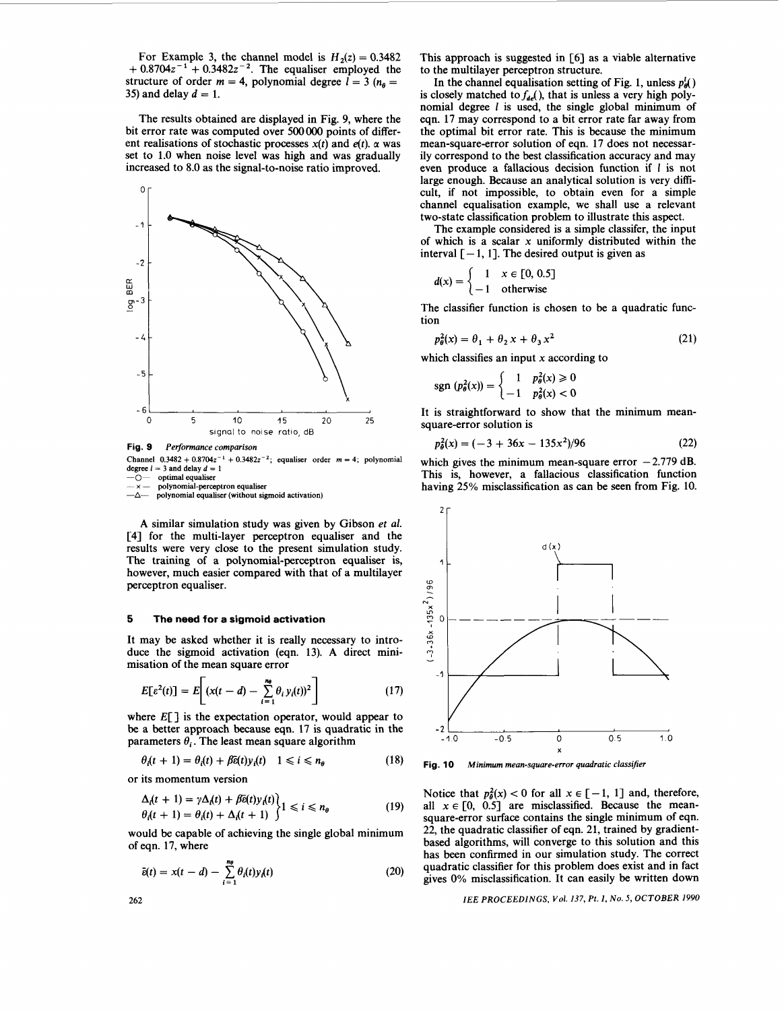For Example 3, the channel model is  $H_2(z) = 0.3482$  $+ 0.8704z^{-1} + 0.3482z^{-2}$ . The equaliser employed the structure of order  $m = 4$ , polynomial degree  $l = 3$  ( $n_{\theta} =$ 35) and delay  $d = 1$ .

The results obtained are displayed in Fig. 9, where the bit error rate was computed over *500000* points of different realisations of stochastic processes  $x(t)$  and  $e(t)$ .  $\alpha$  was set to 1.0 when noise level was high and was gradually increased to 8.0 as the signal-to-noise ratio improved.



**Fig. 9** *Performance comparison*  **Channel 0.3482 + 0.8704z<sup>-1</sup> + 0.3482z<sup>-2</sup>; equaliser order**  $m = 4$ **; polynomial** degree  $l = 3$  and delay  $d = 1$ *-0-* **optimal equaliser** 

 $\mathsf{I} \times \mathsf{I}$  **polynomial-perceptron equaliser**<br> $\mathsf{I} \Delta \mathsf{I}$  **polynomial equaliser (without signal)** polynomial equaliser (without sigmoid activation)

**A** similar simulation study was given by Gibson et al. [4] for the multi-layer perceptron equaliser and the results were very close to the present simulation study. The training of a polynomial-perceptron equaliser is, however, much easier compared with that of a multilayer perceptron equaliser.

#### **5 The need for a sigmoid activation**

It may be asked whether it is really necessary to introduce the sigmoid activation (eqn. 13). **A** direct minimisation of the mean square error

$$
E[\varepsilon^2(t)] = E\bigg[(x(t-d) - \sum_{i=1}^{n_\theta} \theta_i y_i(t))^2\bigg]
$$
 (17)

where  $E[\ ]$  is the expectation operator, would appear to be a better approach because eqn. 17 is quadratic in the parameters  $\theta_i$ . The least mean square algorithm

$$
\theta_i(t+1) = \theta_i(t) + \beta \bar{\epsilon}(t) y_i(t) \quad 1 \leqslant i \leqslant n_\theta \tag{18}
$$

or its momentum version

$$
\Delta_i(t+1) = \gamma \Delta_i(t) + \beta \bar{e}(t) y_i(t) \Biggl\{ 1 \le i \le n_\theta \qquad (19)
$$

would be capable of achieving the single global minimum of eqn. 17, where

$$
\bar{e}(t) = x(t-d) - \sum_{i=1}^{n_0} \theta_i(t) y_i(t)
$$
\n(20)

This approach is suggested in [6] as a viable alternative to the multilayer perceptron structure.

In the channel equalisation setting of Fig. 1, unless  $p_{\theta}^{l}()$ is closely matched to  $f_{de}$ (), that is unless a very high polynomial degree *1* is used, the single global minimum of eqn. 17 may correspond to a bit error rate far away from the optimal bit error rate. This is because the minimum mean-square-error solution of eqn. 17 does not necessarily correspond to the best classification accuracy and may even produce a fallacious decision function if **1** is not large enough. Because an analytical solution is very dimcult, if not impossible, to obtain even for a simple channel equalisation example, we shall use a relevant two-state classification problem to illustrate this aspect.

The example considered is a simple classifer, the input of which is a scalar **x** uniformly distributed within the interval  $[-1, 1]$ . The desired output is given as

$$
d(x) = \begin{cases} 1 & x \in [0, 0.5] \\ -1 & \text{otherwise} \end{cases}
$$

The classifier function is chosen to be a quadratic function

 $p_a^2(x) = \theta_1 + \theta_2 x + \theta_3 x^2$  (21)

which classifies an input **x** according to

$$
sgn (p\theta2(x)) = \begin{cases} 1 & p\theta2(x) \ge 0 \\ -1 & p\theta2(x) < 0 \end{cases}
$$

It is straightforward to show that the minimum meansquare-error solution is

$$
p_{\theta}^{2}(x) = (-3 + 36x - 135x^{2})/96
$$
 (22)

which gives the minimum mean-square error  $-2.779$  dB. This is, however, a fallacious classification function having 25% misclassification as can be seen from Fig. 10.



**Fig. 10** *Minimum mean-square-error quadratic classifier* 

Notice that  $p_a^2(x) < 0$  for all  $x \in [-1, 1]$  and, therefore, all  $x \in [0, 0.5]$  are misclassified. Because the meansquare-error surface contains the single minimum of eqn. 22, the quadratic classifier of eqn. 21, trained by gradientbased algorithms, will converge to this solution and this has been confirmed in our simulation study. The correct quadratic classifier for this problem does exist and in fact gives 0% misclassification. It can easily be written down

**262** *IEE PROCEEDINGS, Vol. 137, Pt. I, No. 5, OCTOBER 1990*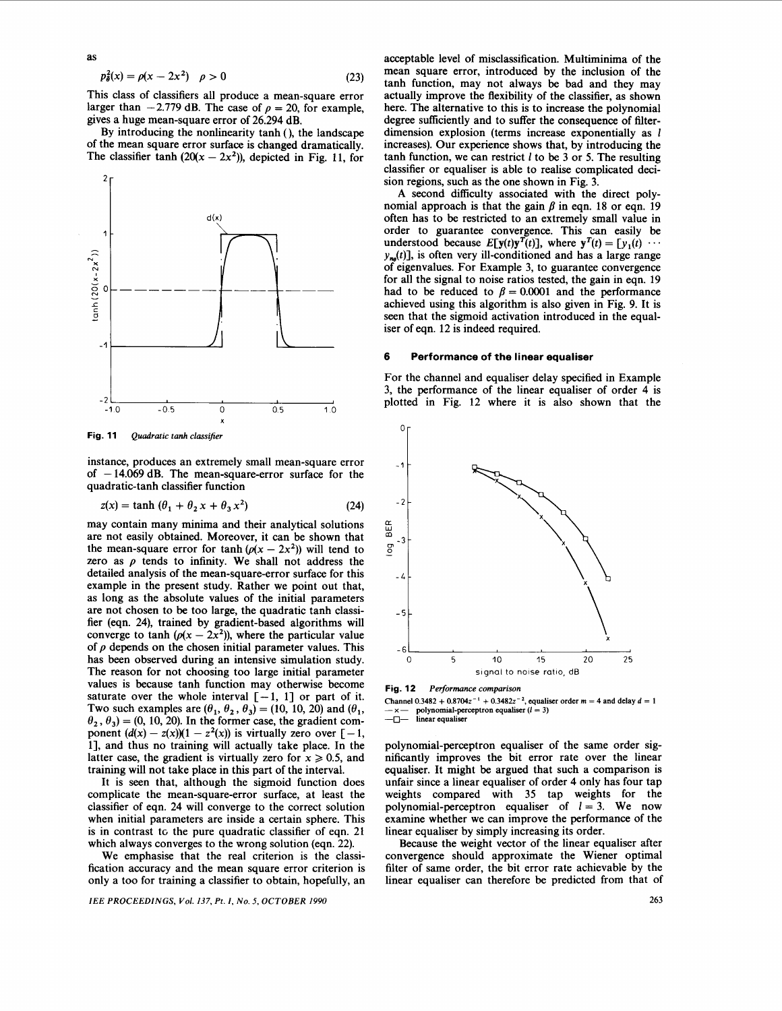$$
p_{\tilde{\theta}}^2(x) = \rho(x - 2x^2) \quad \rho > 0 \tag{23}
$$

This class of classifiers all produce a mean-square error larger than  $-2.779$  dB. The case of  $\rho = 20$ , for example, gives a huge mean-square error of 26.294 **dB.** 

By introducing the nonlinearity tanh (), the landscape of the mean square error surface is changed dramatically. The classifier tanh  $(20(x - 2x^2))$ , depicted in Fig. 11, for



**Fig. 11** *Quadratic tanh classifier* 

instance, produces an extremely small mean-square error of  $-14.069$  dB. The mean-square-error surface for the quadratic-tanh classifier function

$$
z(x) = \tanh (\theta_1 + \theta_2 x + \theta_3 x^2)
$$
 (24)

may contain many minima and their analytical solutions are not easily obtained. Moreover, it can be shown that the mean-square error for tanh  $(\rho(x - 2x^2))$  will tend to zero as  $\rho$  tends to infinity. We shall not address the detailed analysis of the mean-square-error surface for this example in the present study. Rather we point out that, as long as the absolute values of the initial parameters are not chosen to be too large, the quadratic tanh classifier (eqn. 24), trained by gradient-based algorithms will converge to tanh  $(\rho(x - 2x^2))$ , where the particular value of  $\rho$  depends on the chosen initial parameter values. This has been observed during an intensive simulation study. The reason for not choosing too large initial parameter values is because tanh function may otherwise become saturate over the whole interval  $[-1, 1]$  or part of it. Two such examples are  $(\theta_1, \theta_2, \theta_3) = (10, 10, 20)$  and  $(\theta_1, \theta_2, \theta_3)$  $(\theta_2, \theta_3) = (0, 10, 20)$ . In the former case, the gradient component  $(d(x) - z(x))(1 - z^2(x))$  is virtually zero over  $[-1,$ 11, and thus no training will actually take place. In the latter case, the gradient is virtually zero for  $x \ge 0.5$ , and training will not take place in this part of the interval.

It is seen that, although the sigmoid function does complicate the mean-square-error surface, at least the classifier of eqn. 24 will converge to the correct solution when initial parameters are inside a certain sphere. This is in contrast tc the pure quadratic classifier of eqn. 21 which always converges to the wrong solution (eqn. 22).

We emphasise that the real criterion is the classification accuracy and the mean square error criterion is only a too for training a classifier to obtain, hopefully, an

*IEE PROCEEDINGS, Vol. 137, Pt. I, No. 5, OCTOBER 1990* 

acceptable level of misclassification. Multiminima of the mean square error, introduced by the inclusion of the tanh function, may not always be bad and they may actually improve the flexibility of the classifier, as shown here. The alternative to this is to increase the polynomial degree sufficiently and to suffer the consequence of filterdimension explosion (terms increase exponentially as I increases). Our experience shows that, by introducing the tanh function, we can restrict *1* to be 3 or 5. The resulting classifier or equaliser is able to realise complicated decision regions, such as the one shown in Fig. 3.

A second difficulty associated with the direct polynomial approach is that the gain  $\beta$  in eqn. 18 or eqn. 19 often has to be restricted to an extremely small value in order to guarantee convergence. This can easily be understood because  $E[y(t)y^{T}(t)]$ , where  $y^{T}(t) = [y_1(t) \cdots$  $y_{na}(t)$ ], is often very ill-conditioned and has a large range of eigenvalues. For Example 3, to guarantee convergence for all the signal to noise ratios tested, the gain in eqn. 19 had to be reduced to  $\beta = 0.0001$  and the performance achieved using this algorithm is also given in Fig. 9. It is seen that the sigmoid activation introduced in the equaliser of eqn. 12 is indeed required.

#### **6 Performance of the linear equaliser**

For the channel and equaliser delay specified in Example 3, the performance of the linear equaliser of order 4 is plotted in Fig. 12 where it is also shown that the



Fig. 12 Performance comparison Channel 0.3482 + 0.8704z<sup>-1</sup> + 0.3482z<sup>-2</sup>, equaliser order  $m = 4$  and delay  $d = 1$  $-x$  polynomial-perceptron equaliser ( $l = 3$ )<br>---- linear equaliser

polynomial-perceptron equaliser of the same order significantly improves the bit error rate over the linear equaliser. It might be argued that such a comparison is unfair since a linear equaliser of order 4 only has four tap weights compared with 35 tap weights for the polynomial-perceptron equaliser of  $l = 3$ . We now examine whether we can improve the performance of the linear equaliser by simply increasing its order.

Because the weight vector of the linear equaliser after convergence should approximate the Wiener optimal filter of same order, the bit error rate achievable by the linear equaliser can therefore be predicted from that of